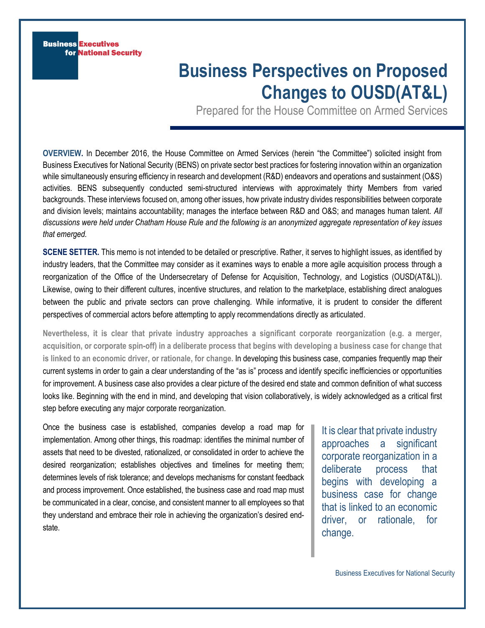**Business Executives** for National Security

# **Business Perspectives on Proposed Changes to OUSD(AT&L)**

Prepared for the House Committee on Armed Services

**OVERVIEW.** In December 2016, the House Committee on Armed Services (herein "the Committee") solicited insight from Business Executives for National Security (BENS) on private sector best practices for fostering innovation within an organization while simultaneously ensuring efficiency in research and development (R&D) endeavors and operations and sustainment (O&S) activities. BENS subsequently conducted semi-structured interviews with approximately thirty Members from varied backgrounds. These interviews focused on, among other issues, how private industry divides responsibilities between corporate and division levels; maintains accountability; manages the interface between R&D and O&S; and manages human talent. *All discussions were held under Chatham House Rule and the following is an anonymized aggregate representation of key issues that emerged.*

**SCENE SETTER.** This memo is not intended to be detailed or prescriptive. Rather, it serves to highlight issues, as identified by industry leaders, that the Committee may consider as it examines ways to enable a more agile acquisition process through a reorganization of the Office of the Undersecretary of Defense for Acquisition, Technology, and Logistics (OUSD(AT&L)). Likewise, owing to their different cultures, incentive structures, and relation to the marketplace, establishing direct analogues between the public and private sectors can prove challenging. While informative, it is prudent to consider the different perspectives of commercial actors before attempting to apply recommendations directly as articulated.

**Nevertheless, it is clear that private industry approaches a significant corporate reorganization (e.g. a merger, acquisition, or corporate spin-off) in a deliberate process that begins with developing a business case for change that is linked to an economic driver, or rationale, for change.** In developing this business case, companies frequently map their current systems in order to gain a clear understanding of the "as is" process and identify specific inefficiencies or opportunities for improvement. A business case also provides a clear picture of the desired end state and common definition of what success looks like. Beginning with the end in mind, and developing that vision collaboratively, is widely acknowledged as a critical first step before executing any major corporate reorganization.

Once the business case is established, companies develop a road map for implementation. Among other things, this roadmap: identifies the minimal number of assets that need to be divested, rationalized, or consolidated in order to achieve the desired reorganization; establishes objectives and timelines for meeting them; determines levels of risk tolerance; and develops mechanisms for constant feedback and process improvement. Once established, the business case and road map must be communicated in a clear, concise, and consistent manner to all employees so that they understand and embrace their role in achieving the organization's desired endstate.

It is clear that private industry approaches a significant corporate reorganization in a deliberate process that begins with developing a business case for change that is linked to an economic driver, or rationale, for change.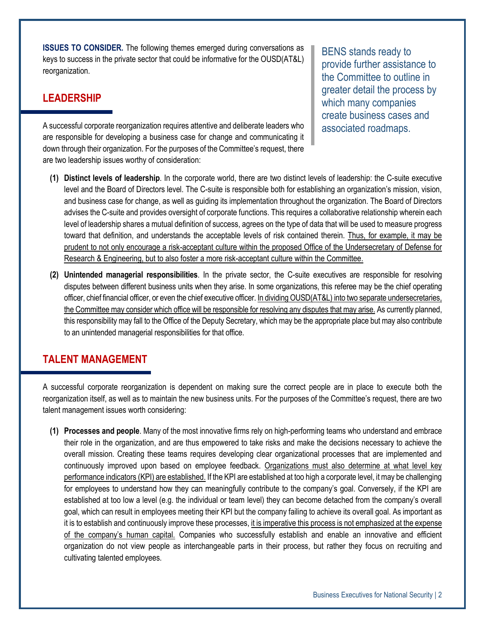**ISSUES TO CONSIDER.** The following themes emerged during conversations as keys to success in the private sector that could be informative for the OUSD(AT&L) reorganization.

## **LEADERSHIP**

A successful corporate reorganization requires attentive and deliberate leaders who are responsible for developing a business case for change and communicating it down through their organization. For the purposes of the Committee's request, there are two leadership issues worthy of consideration:

BENS stands ready to provide further assistance to the Committee to outline in greater detail the process by which many companies create business cases and associated roadmaps.

- **(1) Distinct levels of leadership**. In the corporate world, there are two distinct levels of leadership: the C-suite executive level and the Board of Directors level. The C-suite is responsible both for establishing an organization's mission, vision, and business case for change, as well as guiding its implementation throughout the organization. The Board of Directors advises the C-suite and provides oversight of corporate functions. This requires a collaborative relationship wherein each level of leadership shares a mutual definition of success, agrees on the type of data that will be used to measure progress toward that definition, and understands the acceptable levels of risk contained therein. Thus, for example, it may be prudent to not only encourage a risk-acceptant culture within the proposed Office of the Undersecretary of Defense for Research & Engineering, but to also foster a more risk-acceptant culture within the Committee.
- **(2) Unintended managerial responsibilities**. In the private sector, the C-suite executives are responsible for resolving disputes between different business units when they arise. In some organizations, this referee may be the chief operating officer, chief financial officer, or even the chief executive officer. In dividing OUSD(AT&L) into two separate undersecretaries, the Committee may consider which office will be responsible for resolving any disputes that may arise. As currently planned, this responsibility may fall to the Office of the Deputy Secretary, which may be the appropriate place but may also contribute to an unintended managerial responsibilities for that office.

#### **TALENT MANAGEMENT**

A successful corporate reorganization is dependent on making sure the correct people are in place to execute both the reorganization itself, as well as to maintain the new business units. For the purposes of the Committee's request, there are two talent management issues worth considering:

**(1) Processes and people**. Many of the most innovative firms rely on high-performing teams who understand and embrace their role in the organization, and are thus empowered to take risks and make the decisions necessary to achieve the overall mission. Creating these teams requires developing clear organizational processes that are implemented and continuously improved upon based on employee feedback. Organizations must also determine at what level key performance indicators (KPI) are established. If the KPI are established at too high a corporate level, it may be challenging for employees to understand how they can meaningfully contribute to the company's goal. Conversely, if the KPI are established at too low a level (e.g. the individual or team level) they can become detached from the company's overall goal, which can result in employees meeting their KPI but the company failing to achieve its overall goal. As important as it is to establish and continuously improve these processes, it is imperative this process is not emphasized at the expense of the company's human capital. Companies who successfully establish and enable an innovative and efficient organization do not view people as interchangeable parts in their process, but rather they focus on recruiting and cultivating talented employees.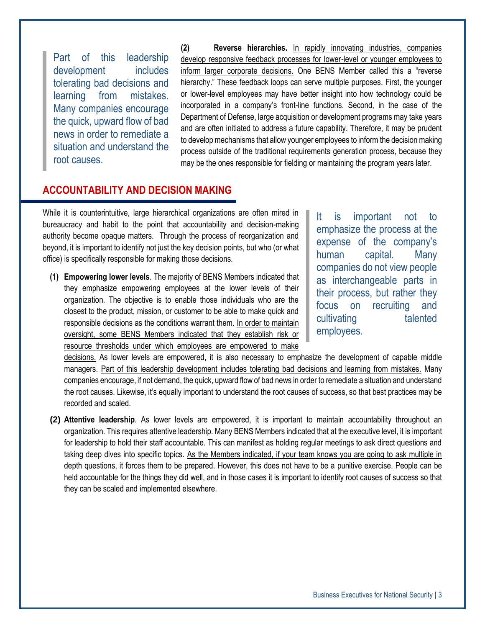Part of this leadership development includes tolerating bad decisions and learning from mistakes. Many companies encourage the quick, upward flow of bad news in order to remediate a situation and understand the root causes.

**(2) Reverse hierarchies.** In rapidly innovating industries, companies develop responsive feedback processes for lower-level or younger employees to inform larger corporate decisions. One BENS Member called this a "reverse hierarchy." These feedback loops can serve multiple purposes. First, the younger or lower-level employees may have better insight into how technology could be incorporated in a company's front-line functions. Second, in the case of the Department of Defense, large acquisition or development programs may take years and are often initiated to address a future capability. Therefore, it may be prudent to develop mechanisms that allow younger employees to inform the decision making process outside of the traditional requirements generation process, because they may be the ones responsible for fielding or maintaining the program years later.

#### **ACCOUNTABILITY AND DECISION MAKING**

While it is counterintuitive, large hierarchical organizations are often mired in bureaucracy and habit to the point that accountability and decision-making authority become opaque matters. Through the process of reorganization and beyond, it is important to identify not just the key decision points, but who (or what office) is specifically responsible for making those decisions.

**(1) Empowering lower levels**. The majority of BENS Members indicated that they emphasize empowering employees at the lower levels of their organization. The objective is to enable those individuals who are the closest to the product, mission, or customer to be able to make quick and responsible decisions as the conditions warrant them. In order to maintain oversight, some BENS Members indicated that they establish risk or resource thresholds under which employees are empowered to make

It is important not to emphasize the process at the expense of the company's human capital. Many companies do not view people as interchangeable parts in their process, but rather they focus on recruiting and cultivating talented employees.

decisions. As lower levels are empowered, it is also necessary to emphasize the development of capable middle managers. Part of this leadership development includes tolerating bad decisions and learning from mistakes. Many companies encourage, if not demand, the quick, upward flow of bad news in order to remediate a situation and understand the root causes. Likewise, it's equally important to understand the root causes of success, so that best practices may be recorded and scaled.

**(2) Attentive leadership**. As lower levels are empowered, it is important to maintain accountability throughout an organization. This requires attentive leadership. Many BENS Members indicated that at the executive level, it is important for leadership to hold their staff accountable. This can manifest as holding regular meetings to ask direct questions and taking deep dives into specific topics. As the Members indicated, if your team knows you are going to ask multiple in depth questions, it forces them to be prepared. However, this does not have to be a punitive exercise. People can be held accountable for the things they did well, and in those cases it is important to identify root causes of success so that they can be scaled and implemented elsewhere.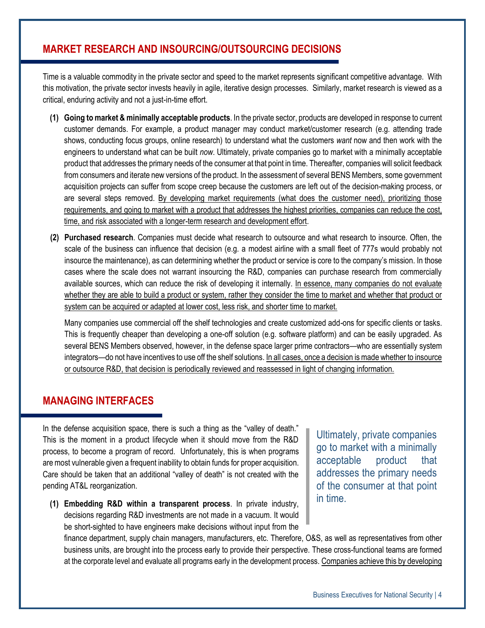#### **MARKET RESEARCH AND INSOURCING/OUTSOURCING DECISIONS**

Time is a valuable commodity in the private sector and speed to the market represents significant competitive advantage. With this motivation, the private sector invests heavily in agile, iterative design processes. Similarly, market research is viewed as a critical, enduring activity and not a just-in-time effort.

- **(1) Going to market & minimally acceptable products**. In the private sector, products are developed in response to current customer demands. For example, a product manager may conduct market/customer research (e.g. attending trade shows, conducting focus groups, online research) to understand what the customers *want* now and then work with the engineers to understand what can be built *now*. Ultimately, private companies go to market with a minimally acceptable product that addresses the primary needs of the consumer at that point in time. Thereafter, companies will solicit feedback from consumers and iterate new versions of the product. In the assessment of several BENS Members, some government acquisition projects can suffer from scope creep because the customers are left out of the decision-making process, or are several steps removed. By developing market requirements (what does the customer need), prioritizing those requirements, and going to market with a product that addresses the highest priorities, companies can reduce the cost, time, and risk associated with a longer-term research and development effort.
- **(2) Purchased research**. Companies must decide what research to outsource and what research to insource. Often, the scale of the business can influence that decision (e.g. a modest airline with a small fleet of 777s would probably not insource the maintenance), as can determining whether the product or service is core to the company's mission. In those cases where the scale does not warrant insourcing the R&D, companies can purchase research from commercially available sources, which can reduce the risk of developing it internally. In essence, many companies do not evaluate whether they are able to build a product or system, rather they consider the time to market and whether that product or system can be acquired or adapted at lower cost, less risk, and shorter time to market.

Many companies use commercial off the shelf technologies and create customized add-ons for specific clients or tasks. This is frequently cheaper than developing a one-off solution (e.g. software platform) and can be easily upgraded. As several BENS Members observed, however, in the defense space larger prime contractors—who are essentially system integrators—do not have incentives to use off the shelf solutions. In all cases, once a decision is made whether to insource or outsource R&D, that decision is periodically reviewed and reassessed in light of changing information.

#### **MANAGING INTERFACES**

In the defense acquisition space, there is such a thing as the "valley of death." This is the moment in a product lifecycle when it should move from the R&D process, to become a program of record. Unfortunately, this is when programs are most vulnerable given a frequent inability to obtain funds for proper acquisition. Care should be taken that an additional "valley of death" is not created with the pending AT&L reorganization.

**(1) Embedding R&D within a transparent process**. In private industry, decisions regarding R&D investments are not made in a vacuum. It would be short-sighted to have engineers make decisions without input from the

Ultimately, private companies go to market with a minimally acceptable product that addresses the primary needs of the consumer at that point in time.

finance department, supply chain managers, manufacturers, etc. Therefore, O&S, as well as representatives from other business units, are brought into the process early to provide their perspective. These cross-functional teams are formed at the corporate level and evaluate all programs early in the development process. Companies achieve this by developing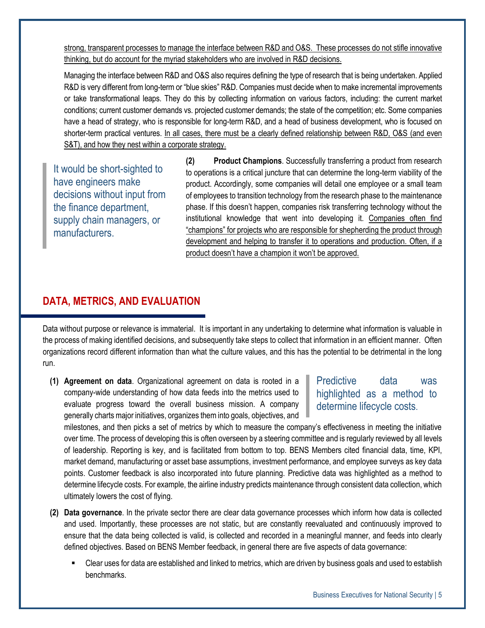strong, transparent processes to manage the interface between R&D and O&S. These processes do not stifle innovative thinking, but do account for the myriad stakeholders who are involved in R&D decisions.

Managing the interface between R&D and O&S also requires defining the type of research that is being undertaken. Applied R&D is very different from long-term or "blue skies" R&D. Companies must decide when to make incremental improvements or take transformational leaps. They do this by collecting information on various factors, including: the current market conditions; current customer demands vs. projected customer demands; the state of the competition; etc. Some companies have a head of strategy, who is responsible for long-term R&D, and a head of business development, who is focused on shorter-term practical ventures. In all cases, there must be a clearly defined relationship between R&D, O&S (and even S&T), and how they nest within a corporate strategy.

It would be short-sighted to have engineers make decisions without input from the finance department, supply chain managers, or manufacturers.

**(2) Product Champions**. Successfully transferring a product from research to operations is a critical juncture that can determine the long-term viability of the product. Accordingly, some companies will detail one employee or a small team of employees to transition technology from the research phase to the maintenance phase. If this doesn't happen, companies risk transferring technology without the institutional knowledge that went into developing it. Companies often find "champions" for projects who are responsible for shepherding the product through development and helping to transfer it to operations and production. Often, if a product doesn't have a champion it won't be approved.

## **DATA, METRICS, AND EVALUATION**

Data without purpose or relevance is immaterial. It is important in any undertaking to determine what information is valuable in the process of making identified decisions, and subsequently take steps to collect that information in an efficient manner. Often organizations record different information than what the culture values, and this has the potential to be detrimental in the long run.

**(1) Agreement on data**. Organizational agreement on data is rooted in a company-wide understanding of how data feeds into the metrics used to evaluate progress toward the overall business mission. A company generally charts major initiatives, organizes them into goals, objectives, and

#### Predictive data was highlighted as a method to determine lifecycle costs.

milestones, and then picks a set of metrics by which to measure the company's effectiveness in meeting the initiative over time. The process of developing this is often overseen by a steering committee and is regularly reviewed by all levels of leadership. Reporting is key, and is facilitated from bottom to top. BENS Members cited financial data, time, KPI, market demand, manufacturing or asset base assumptions, investment performance, and employee surveys as key data points. Customer feedback is also incorporated into future planning. Predictive data was highlighted as a method to determine lifecycle costs. For example, the airline industry predicts maintenance through consistent data collection, which ultimately lowers the cost of flying.

- **(2) Data governance**. In the private sector there are clear data governance processes which inform how data is collected and used. Importantly, these processes are not static, but are constantly reevaluated and continuously improved to ensure that the data being collected is valid, is collected and recorded in a meaningful manner, and feeds into clearly defined objectives. Based on BENS Member feedback, in general there are five aspects of data governance:
	- Clear uses for data are established and linked to metrics, which are driven by business goals and used to establish benchmarks.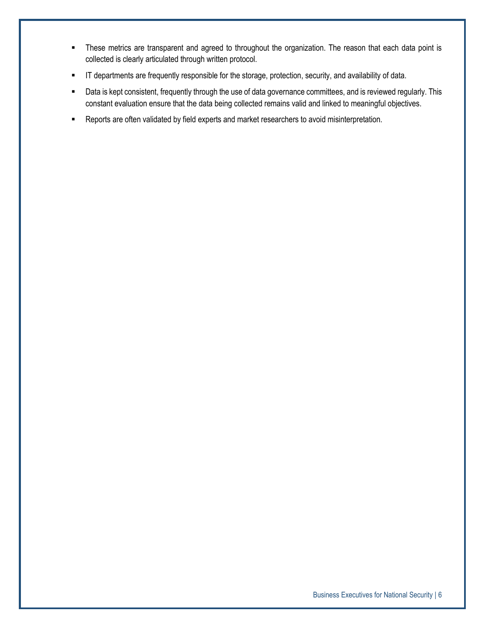- **These metrics are transparent and agreed to throughout the organization. The reason that each data point is** collected is clearly articulated through written protocol.
- IT departments are frequently responsible for the storage, protection, security, and availability of data.
- Data is kept consistent, frequently through the use of data governance committees, and is reviewed regularly. This constant evaluation ensure that the data being collected remains valid and linked to meaningful objectives.
- **-** Reports are often validated by field experts and market researchers to avoid misinterpretation.